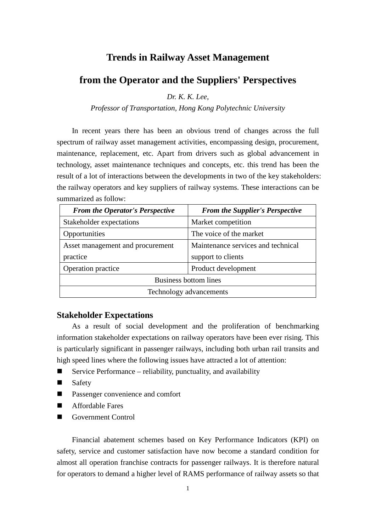# **Trends in Railway Asset Management**

# **from the Operator and the Suppliers' Perspectives**

*Dr. K. K. Lee,*

*Professor of Transportation, Hong Kong Polytechnic University*

In recent years there has been an obvious trend of changes across the full spectrum of railway asset management activities, encompassing design, procurement, maintenance, replacement, etc. Apart from drivers such as global advancement in technology, asset maintenance techniques and concepts, etc. this trend has been the result of a lot of interactions between the developments in two of the key stakeholders: the railway operators and key suppliers of railway systems. These interactions can be summarized as follow:

| <b>From the Operator's Perspective</b> | <b>From the Supplier's Perspective</b> |  |
|----------------------------------------|----------------------------------------|--|
| Stakeholder expectations               | Market competition                     |  |
| Opportunities                          | The voice of the market                |  |
| Asset management and procurement       | Maintenance services and technical     |  |
| practice                               | support to clients                     |  |
| Operation practice                     | Product development                    |  |
| <b>Business bottom lines</b>           |                                        |  |
| Technology advancements                |                                        |  |

#### **Stakeholder Expectations**

As a result of social development and the proliferation of benchmarking information stakeholder expectations on railway operators have been ever rising. This is particularly significant in passenger railways, including both urban rail transits and high speed lines where the following issues have attracted a lot of attention:

- Service Performance reliability, punctuality, and availability
- Safety
- Passenger convenience and comfort
- Affordable Fares
- Government Control

Financial abatement schemes based on Key Performance Indicators (KPI) on safety, service and customer satisfaction have now become a standard condition for almost all operation franchise contracts for passenger railways. It is therefore natural for operators to demand a higher level of RAMS performance of railway assets so that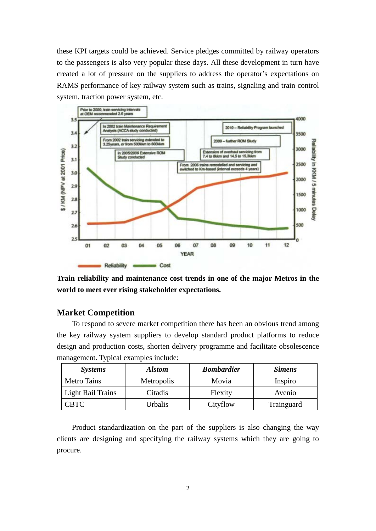these KPI targets could be achieved. Service pledges committed by railway operators to the passengers is also very popular these days. All these development in turn have created a lot of pressure on the suppliers to address the operator's expectations on RAMS performance of key railway system such as trains, signaling and train control system, traction power system, etc.



**Train reliability and maintenance cost trends in one of the major Metros in the world to meet ever rising stakeholder expectations.**

# **Market Competition**

To respond to severe market competition there has been an obvious trend among the key railway system suppliers to develop standard product platforms to reduce design and production costs, shorten delivery programme and facilitate obsolescence management. Typical examples include:

| <i>Systems</i>           | <b>Alstom</b> | <b>Bombardier</b> | <b>Simens</b> |
|--------------------------|---------------|-------------------|---------------|
| <b>Metro Tains</b>       | Metropolis    | Movia             | Inspiro       |
| <b>Light Rail Trains</b> | Citadis       | Flexity           | Avenio        |
| CBTC                     | Urbalis       | Cityflow          | Trainguard    |

Product standardization on the part of the suppliers is also changing the way clients are designing and specifying the railway systems which they are going to procure.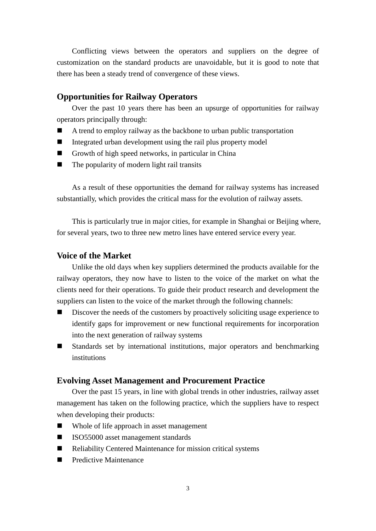Conflicting views between the operators and suppliers on the degree of customization on the standard products are unavoidable, but it is good to note that there has been a steady trend of convergence of these views.

## **Opportunities for Railway Operators**

Over the past 10 years there has been an upsurge of opportunities for railway operators principally through:

- A trend to employ railway as the backbone to urban public transportation
- Integrated urban development using the rail plus property model
- Growth of high speed networks, in particular in China
- The popularity of modern light rail transits

As a result of these opportunities the demand for railway systems has increased substantially, which provides the critical mass for the evolution of railway assets.

This is particularly true in major cities, for example in Shanghai or Beijing where, for several years, two to three new metro lines have entered service every year.

## **Voice of the Market**

Unlike the old days when key suppliers determined the products available for the railway operators, they now have to listen to the voice of the market on what the clients need for their operations. To guide their product research and development the suppliers can listen to the voice of the market through the following channels:

- Discover the needs of the customers by proactively soliciting usage experience to identify gaps for improvement or new functional requirements for incorporation into the next generation of railway systems
- Standards set by international institutions, major operators and benchmarking institutions

#### **Evolving Asset Management and Procurement Practice**

Over the past 15 years, in line with global trends in other industries, railway asset management has taken on the following practice, which the suppliers have to respect when developing their products:

- Whole of life approach in asset management
- ISO55000 asset management standards
- Reliability Centered Maintenance for mission critical systems
- **Predictive Maintenance**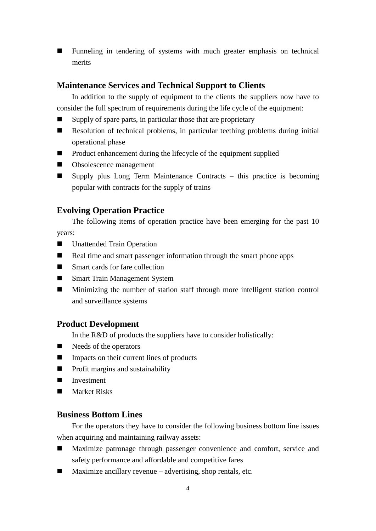Funneling in tendering of systems with much greater emphasis on technical merits

# **Maintenance Services and Technical Support to Clients**

In addition to the supply of equipment to the clients the suppliers now have to consider the full spectrum of requirements during the life cycle of the equipment:

- Supply of spare parts, in particular those that are proprietary
- Resolution of technical problems, in particular teething problems during initial operational phase
- Product enhancement during the lifecycle of the equipment supplied
- Obsolescence management
- Supply plus Long Term Maintenance Contracts this practice is becoming popular with contracts for the supply of trains

### **Evolving Operation Practice**

The following items of operation practice have been emerging for the past 10 years:

- **I** Unattended Train Operation
- Real time and smart passenger information through the smart phone apps
- Smart cards for fare collection
- Smart Train Management System
- Minimizing the number of station staff through more intelligent station control and surveillance systems

### **Product Development**

In the R&D of products the suppliers have to consider holistically:

- $\blacksquare$  Needs of the operators
- **IMPACE 11.5** Impacts on their current lines of products
- $\blacksquare$  Profit margins and sustainability
- Investment
- Market Risks

# **Business Bottom Lines**

For the operators they have to consider the following business bottom line issues when acquiring and maintaining railway assets:

- Maximize patronage through passenger convenience and comfort, service and safety performance and affordable and competitive fares
- $\blacksquare$  Maximize ancillary revenue advertising, shop rentals, etc.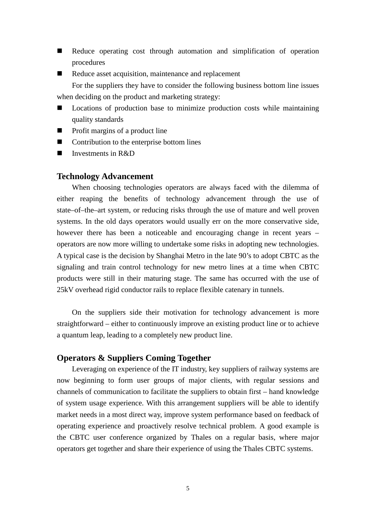- Reduce operating cost through automation and simplification of operation procedures
- Reduce asset acquisition, maintenance and replacement For the suppliers they have to consider the following business bottom line issues when deciding on the product and marketing strategy:
- Locations of production base to minimize production costs while maintaining quality standards
- Profit margins of a product line
- Contribution to the enterprise bottom lines
- Investments in R&D

## **Technology Advancement**

When choosing technologies operators are always faced with the dilemma of either reaping the benefits of technology advancement through the use of state–of–the–art system, or reducing risks through the use of mature and well proven systems. In the old days operators would usually err on the more conservative side, however there has been a noticeable and encouraging change in recent years – operators are now more willing to undertake some risks in adopting new technologies. A typical case is the decision by Shanghai Metro in the late 90's to adopt CBTC as the signaling and train control technology for new metro lines at a time when CBTC products were still in their maturing stage. The same has occurred with the use of 25kV overhead rigid conductor rails to replace flexible catenary in tunnels.

On the suppliers side their motivation for technology advancement is more straightforward – either to continuously improve an existing product line or to achieve a quantum leap, leading to a completely new product line.

### **Operators & Suppliers Coming Together**

Leveraging on experience of the IT industry, key suppliers of railway systems are now beginning to form user groups of major clients, with regular sessions and channels of communication to facilitate the suppliers to obtain first – hand knowledge of system usage experience. With this arrangement suppliers will be able to identify market needs in a most direct way, improve system performance based on feedback of operating experience and proactively resolve technical problem. A good example is the CBTC user conference organized by Thales on a regular basis, where major operators get together and share their experience of using the Thales CBTC systems.